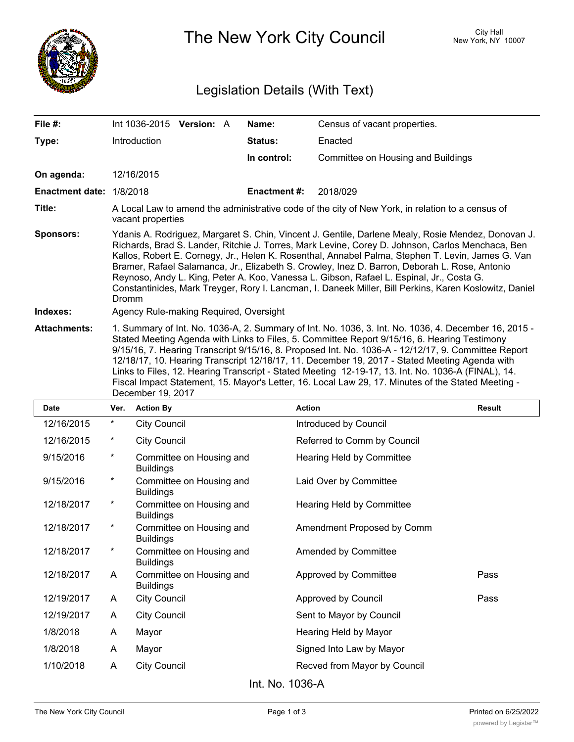

The New York City Council New York, NY 10007

## Legislation Details (With Text)

| File #:                  | Int 1036-2015<br><b>Version: A</b>                                                                                                                                                                                                                                                                                                                                                                                                                                                                                                                                                                                                            | Name:              | Census of vacant properties.       |  |  |
|--------------------------|-----------------------------------------------------------------------------------------------------------------------------------------------------------------------------------------------------------------------------------------------------------------------------------------------------------------------------------------------------------------------------------------------------------------------------------------------------------------------------------------------------------------------------------------------------------------------------------------------------------------------------------------------|--------------------|------------------------------------|--|--|
| Type:                    | Introduction                                                                                                                                                                                                                                                                                                                                                                                                                                                                                                                                                                                                                                  | Status:            | Enacted                            |  |  |
|                          |                                                                                                                                                                                                                                                                                                                                                                                                                                                                                                                                                                                                                                               | In control:        | Committee on Housing and Buildings |  |  |
| On agenda:               | 12/16/2015                                                                                                                                                                                                                                                                                                                                                                                                                                                                                                                                                                                                                                    |                    |                                    |  |  |
| Enactment date: 1/8/2018 |                                                                                                                                                                                                                                                                                                                                                                                                                                                                                                                                                                                                                                               | <b>Enactment#:</b> | 2018/029                           |  |  |
| Title:                   | A Local Law to amend the administrative code of the city of New York, in relation to a census of<br>vacant properties                                                                                                                                                                                                                                                                                                                                                                                                                                                                                                                         |                    |                                    |  |  |
| <b>Sponsors:</b>         | Ydanis A. Rodriguez, Margaret S. Chin, Vincent J. Gentile, Darlene Mealy, Rosie Mendez, Donovan J.<br>Richards, Brad S. Lander, Ritchie J. Torres, Mark Levine, Corey D. Johnson, Carlos Menchaca, Ben<br>Kallos, Robert E. Cornegy, Jr., Helen K. Rosenthal, Annabel Palma, Stephen T. Levin, James G. Van<br>Bramer, Rafael Salamanca, Jr., Elizabeth S. Crowley, Inez D. Barron, Deborah L. Rose, Antonio<br>Reynoso, Andy L. King, Peter A. Koo, Vanessa L. Gibson, Rafael L. Espinal, Jr., Costa G.<br>Constantinides, Mark Treyger, Rory I. Lancman, I. Daneek Miller, Bill Perkins, Karen Koslowitz, Daniel<br><b>Dromm</b>            |                    |                                    |  |  |
| Indexes:                 | Agency Rule-making Required, Oversight                                                                                                                                                                                                                                                                                                                                                                                                                                                                                                                                                                                                        |                    |                                    |  |  |
| <b>Attachments:</b>      | 1. Summary of Int. No. 1036-A, 2. Summary of Int. No. 1036, 3. Int. No. 1036, 4. December 16, 2015 -<br>Stated Meeting Agenda with Links to Files, 5. Committee Report 9/15/16, 6. Hearing Testimony<br>9/15/16, 7. Hearing Transcript 9/15/16, 8. Proposed Int. No. 1036-A - 12/12/17, 9. Committee Report<br>12/18/17, 10. Hearing Transcript 12/18/17, 11. December 19, 2017 - Stated Meeting Agenda with<br>Links to Files, 12. Hearing Transcript - Stated Meeting 12-19-17, 13. Int. No. 1036-A (FINAL), 14.<br>Fiscal Impact Statement, 15. Mayor's Letter, 16. Local Law 29, 17. Minutes of the Stated Meeting -<br>December 19, 2017 |                    |                                    |  |  |

| <b>Date</b>        | Ver.     | <b>Action By</b>                             | <b>Action</b>                | <b>Result</b> |  |
|--------------------|----------|----------------------------------------------|------------------------------|---------------|--|
| 12/16/2015         | $^\star$ | <b>City Council</b>                          | Introduced by Council        |               |  |
| 12/16/2015         | $^\star$ | <b>City Council</b>                          | Referred to Comm by Council  |               |  |
| 9/15/2016          | $^\star$ | Committee on Housing and<br><b>Buildings</b> | Hearing Held by Committee    |               |  |
| 9/15/2016          | $^\star$ | Committee on Housing and<br><b>Buildings</b> | Laid Over by Committee       |               |  |
| 12/18/2017         | $^\star$ | Committee on Housing and<br><b>Buildings</b> | Hearing Held by Committee    |               |  |
| 12/18/2017         | $^\star$ | Committee on Housing and<br><b>Buildings</b> | Amendment Proposed by Comm   |               |  |
| 12/18/2017         | $^\star$ | Committee on Housing and<br><b>Buildings</b> | Amended by Committee         |               |  |
| 12/18/2017         | A        | Committee on Housing and<br><b>Buildings</b> | Approved by Committee        | Pass          |  |
| 12/19/2017         | A        | <b>City Council</b>                          | Approved by Council          | Pass          |  |
| 12/19/2017         | A        | <b>City Council</b>                          | Sent to Mayor by Council     |               |  |
| 1/8/2018           | A        | Mayor                                        | Hearing Held by Mayor        |               |  |
| 1/8/2018           | A        | Mayor                                        | Signed Into Law by Mayor     |               |  |
| 1/10/2018          | A        | <b>City Council</b>                          | Recved from Mayor by Council |               |  |
| $Int$ No. $1036$ A |          |                                              |                              |               |  |

Int. No. 1036-A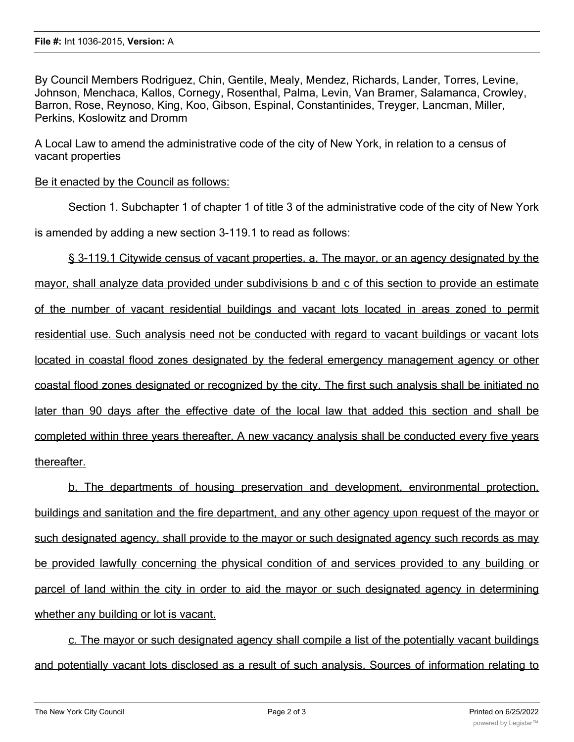By Council Members Rodriguez, Chin, Gentile, Mealy, Mendez, Richards, Lander, Torres, Levine, Johnson, Menchaca, Kallos, Cornegy, Rosenthal, Palma, Levin, Van Bramer, Salamanca, Crowley, Barron, Rose, Reynoso, King, Koo, Gibson, Espinal, Constantinides, Treyger, Lancman, Miller, Perkins, Koslowitz and Dromm

A Local Law to amend the administrative code of the city of New York, in relation to a census of vacant properties

Be it enacted by the Council as follows:

Section 1. Subchapter 1 of chapter 1 of title 3 of the administrative code of the city of New York

is amended by adding a new section 3-119.1 to read as follows:

§ 3-119.1 Citywide census of vacant properties. a. The mayor, or an agency designated by the mayor, shall analyze data provided under subdivisions b and c of this section to provide an estimate of the number of vacant residential buildings and vacant lots located in areas zoned to permit residential use. Such analysis need not be conducted with regard to vacant buildings or vacant lots located in coastal flood zones designated by the federal emergency management agency or other coastal flood zones designated or recognized by the city. The first such analysis shall be initiated no later than 90 days after the effective date of the local law that added this section and shall be completed within three years thereafter. A new vacancy analysis shall be conducted every five years thereafter.

b. The departments of housing preservation and development, environmental protection, buildings and sanitation and the fire department, and any other agency upon request of the mayor or such designated agency, shall provide to the mayor or such designated agency such records as may be provided lawfully concerning the physical condition of and services provided to any building or parcel of land within the city in order to aid the mayor or such designated agency in determining whether any building or lot is vacant.

c. The mayor or such designated agency shall compile a list of the potentially vacant buildings and potentially vacant lots disclosed as a result of such analysis. Sources of information relating to